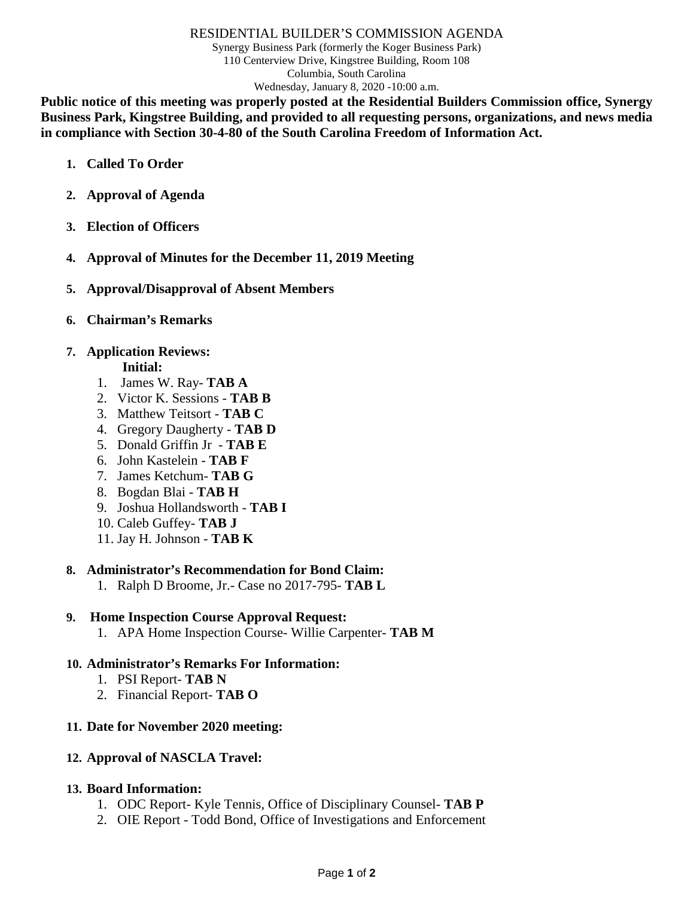#### RESIDENTIAL BUILDER'S COMMISSION AGENDA

Synergy Business Park (formerly the Koger Business Park) 110 Centerview Drive, Kingstree Building, Room 108 Columbia, South Carolina Wednesday, January 8, 2020 -10:00 a.m.

**Public notice of this meeting was properly posted at the Residential Builders Commission office, Synergy Business Park, Kingstree Building, and provided to all requesting persons, organizations, and news media in compliance with Section 30-4-80 of the South Carolina Freedom of Information Act.**

- **1. Called To Order**
- **2. Approval of Agenda**
- **3. Election of Officers**
- **4. Approval of Minutes for the December 11, 2019 Meeting**
- **5. Approval/Disapproval of Absent Members**
- **6. Chairman's Remarks**

# **7. Application Reviews:**

- **Initial:**
- 1. James W. Ray- **TAB A**
- 2. Victor K. Sessions **TAB B**
- 3. Matthew Teitsort **TAB C**
- 4. Gregory Daugherty **TAB D**
- 5. Donald Griffin Jr **TAB E**
- 6. John Kastelein **TAB F**
- 7. James Ketchum- **TAB G**
- 8. Bogdan Blai **TAB H**
- 9. Joshua Hollandsworth **TAB I**
- 10. Caleb Guffey- **TAB J**
- 11. Jay H. Johnson **TAB K**

#### **8. Administrator's Recommendation for Bond Claim:**

1. Ralph D Broome, Jr.- Case no 2017-795- **TAB L**

## **9. Home Inspection Course Approval Request:**

1. APA Home Inspection Course- Willie Carpenter- **TAB M**

#### **10. Administrator's Remarks For Information:**

- 1. PSI Report- **TAB N**
- 2. Financial Report- **TAB O**

## **11. Date for November 2020 meeting:**

## **12. Approval of NASCLA Travel:**

#### **13. Board Information:**

- 1. ODC Report- Kyle Tennis, Office of Disciplinary Counsel- **TAB P**
- 2. OIE Report Todd Bond, Office of Investigations and Enforcement